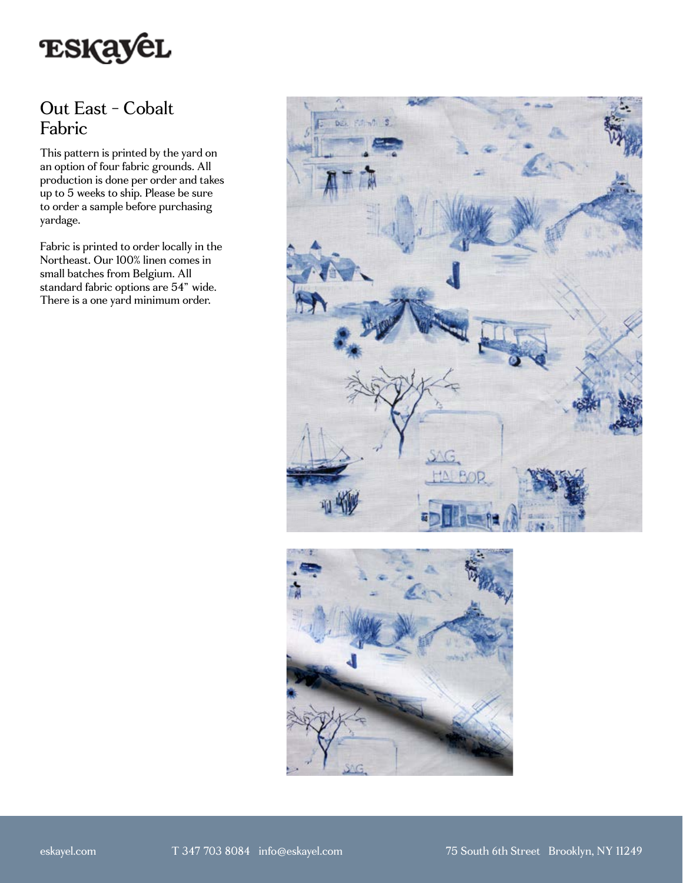

## Out East - Cobalt Fabric

This pattern is printed by the yard on an option of four fabric grounds. All production is done per order and takes up to 5 weeks to ship. Please be sure to order a sample before purchasing yardage.

Fabric is printed to order locally in the Northeast. Our 100% linen comes in small batches from Belgium. All standard fabric options are 54" wide. There is a one yard minimum order.



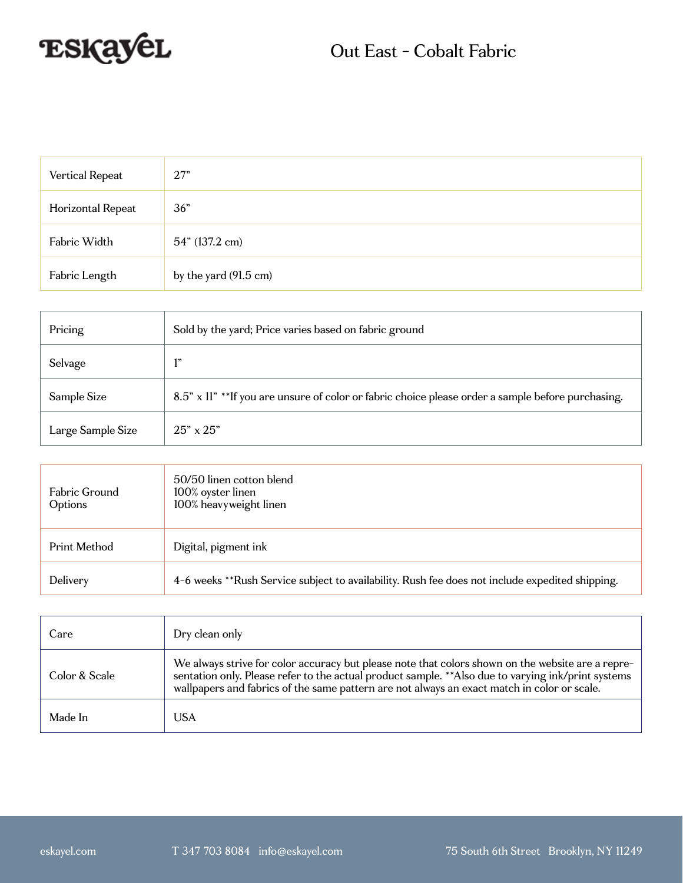

| Vertical Repeat   | 27"                   |
|-------------------|-----------------------|
| Horizontal Repeat | 36"                   |
| Fabric Width      | 54" (137.2 cm)        |
| Fabric Length     | by the yard (91.5 cm) |

| Pricing           | Sold by the yard; Price varies based on fabric ground                                             |
|-------------------|---------------------------------------------------------------------------------------------------|
| Selvage           | 1"                                                                                                |
| Sample Size       | 8.5" x 11" **If you are unsure of color or fabric choice please order a sample before purchasing. |
| Large Sample Size | $25" \times 25"$                                                                                  |

| Fabric Ground<br>Options | 50/50 linen cotton blend<br>100% oyster linen<br>100% heavyweight linen                         |
|--------------------------|-------------------------------------------------------------------------------------------------|
| Print Method             | Digital, pigment ink                                                                            |
| Delivery                 | 4-6 weeks **Rush Service subject to availability. Rush fee does not include expedited shipping. |

| Care          | Dry clean only                                                                                                                                                                                                                                                                                          |
|---------------|---------------------------------------------------------------------------------------------------------------------------------------------------------------------------------------------------------------------------------------------------------------------------------------------------------|
| Color & Scale | We always strive for color accuracy but please note that colors shown on the website are a repre-<br>sentation only. Please refer to the actual product sample. ** Also due to varying ink/print systems<br>wallpapers and fabrics of the same pattern are not always an exact match in color or scale. |
| Made In       | USA                                                                                                                                                                                                                                                                                                     |